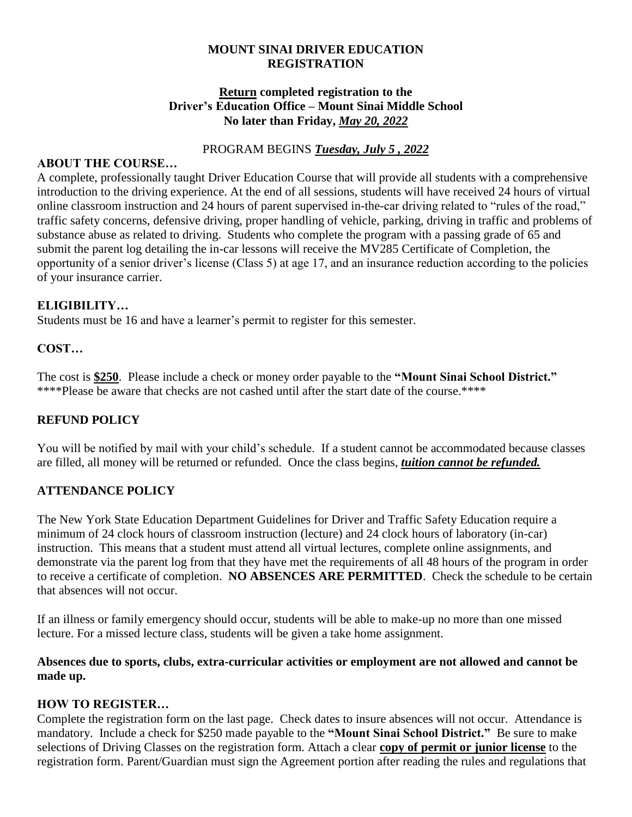#### **MOUNT SINAI DRIVER EDUCATION REGISTRATION**

#### **Return completed registration to the Driver's Education Office – Mount Sinai Middle School No later than Friday,** *May 20, 2022*

#### PROGRAM BEGINS *Tuesday, July 5 , 2022*

#### **ABOUT THE COURSE…**

A complete, professionally taught Driver Education Course that will provide all students with a comprehensive introduction to the driving experience. At the end of all sessions, students will have received 24 hours of virtual online classroom instruction and 24 hours of parent supervised in-the-car driving related to "rules of the road," traffic safety concerns, defensive driving, proper handling of vehicle, parking, driving in traffic and problems of substance abuse as related to driving. Students who complete the program with a passing grade of 65 and submit the parent log detailing the in-car lessons will receive the MV285 Certificate of Completion, the opportunity of a senior driver's license (Class 5) at age 17, and an insurance reduction according to the policies of your insurance carrier.

### **ELIGIBILITY…**

Students must be 16 and have a learner's permit to register for this semester.

### **COST…**

The cost is **\$250**. Please include a check or money order payable to the **"Mount Sinai School District."** \*\*\*\*Please be aware that checks are not cashed until after the start date of the course.\*\*\*\*

### **REFUND POLICY**

You will be notified by mail with your child's schedule. If a student cannot be accommodated because classes are filled, all money will be returned or refunded. Once the class begins, *tuition cannot be refunded.*

### **ATTENDANCE POLICY**

The New York State Education Department Guidelines for Driver and Traffic Safety Education require a minimum of 24 clock hours of classroom instruction (lecture) and 24 clock hours of laboratory (in-car) instruction. This means that a student must attend all virtual lectures, complete online assignments, and demonstrate via the parent log from that they have met the requirements of all 48 hours of the program in order to receive a certificate of completion. **NO ABSENCES ARE PERMITTED**. Check the schedule to be certain that absences will not occur.

If an illness or family emergency should occur, students will be able to make-up no more than one missed lecture. For a missed lecture class, students will be given a take home assignment.

**Absences due to sports, clubs, extra-curricular activities or employment are not allowed and cannot be made up.**

### **HOW TO REGISTER…**

Complete the registration form on the last page. Check dates to insure absences will not occur. Attendance is mandatory. Include a check for \$250 made payable to the **"Mount Sinai School District."** Be sure to make selections of Driving Classes on the registration form. Attach a clear **copy of permit or junior license** to the registration form. Parent/Guardian must sign the Agreement portion after reading the rules and regulations that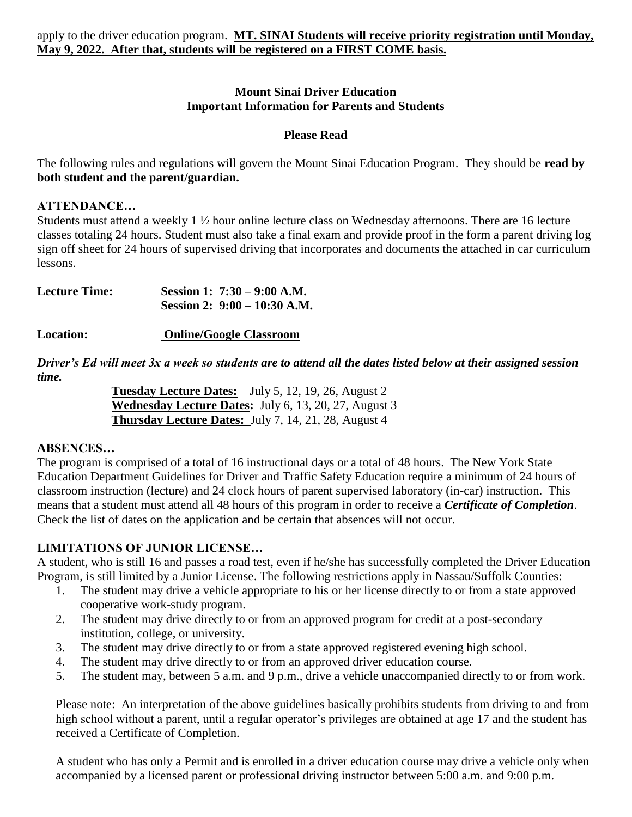### **Mount Sinai Driver Education Important Information for Parents and Students**

### **Please Read**

The following rules and regulations will govern the Mount Sinai Education Program. They should be **read by both student and the parent/guardian.**

### **ATTENDANCE…**

Students must attend a weekly 1 ½ hour online lecture class on Wednesday afternoons. There are 16 lecture classes totaling 24 hours. Student must also take a final exam and provide proof in the form a parent driving log sign off sheet for 24 hours of supervised driving that incorporates and documents the attached in car curriculum lessons.

| <b>Lecture Time:</b> | Session 1: $7:30 - 9:00$ A.M.  |
|----------------------|--------------------------------|
|                      | Session 2: $9:00 - 10:30$ A.M. |

**Location: Online/Google Classroom**

*Driver's Ed will meet 3x a week so students are to attend all the dates listed below at their assigned session time.*

**Tuesday Lecture Dates:** July 5, 12, 19, 26, August 2 **Wednesday Lecture Dates:** July 6, 13, 20, 27, August 3 **Thursday Lecture Dates:** July 7, 14, 21, 28, August 4

## **ABSENCES…**

The program is comprised of a total of 16 instructional days or a total of 48 hours. The New York State Education Department Guidelines for Driver and Traffic Safety Education require a minimum of 24 hours of classroom instruction (lecture) and 24 clock hours of parent supervised laboratory (in-car) instruction. This means that a student must attend all 48 hours of this program in order to receive a *Certificate of Completion*. Check the list of dates on the application and be certain that absences will not occur.

# **LIMITATIONS OF JUNIOR LICENSE…**

A student, who is still 16 and passes a road test, even if he/she has successfully completed the Driver Education Program, is still limited by a Junior License. The following restrictions apply in Nassau/Suffolk Counties:

- 1. The student may drive a vehicle appropriate to his or her license directly to or from a state approved cooperative work-study program.
- 2. The student may drive directly to or from an approved program for credit at a post-secondary institution, college, or university.
- 3. The student may drive directly to or from a state approved registered evening high school.
- 4. The student may drive directly to or from an approved driver education course.
- 5. The student may, between 5 a.m. and 9 p.m., drive a vehicle unaccompanied directly to or from work.

Please note: An interpretation of the above guidelines basically prohibits students from driving to and from high school without a parent, until a regular operator's privileges are obtained at age 17 and the student has received a Certificate of Completion.

A student who has only a Permit and is enrolled in a driver education course may drive a vehicle only when accompanied by a licensed parent or professional driving instructor between 5:00 a.m. and 9:00 p.m.